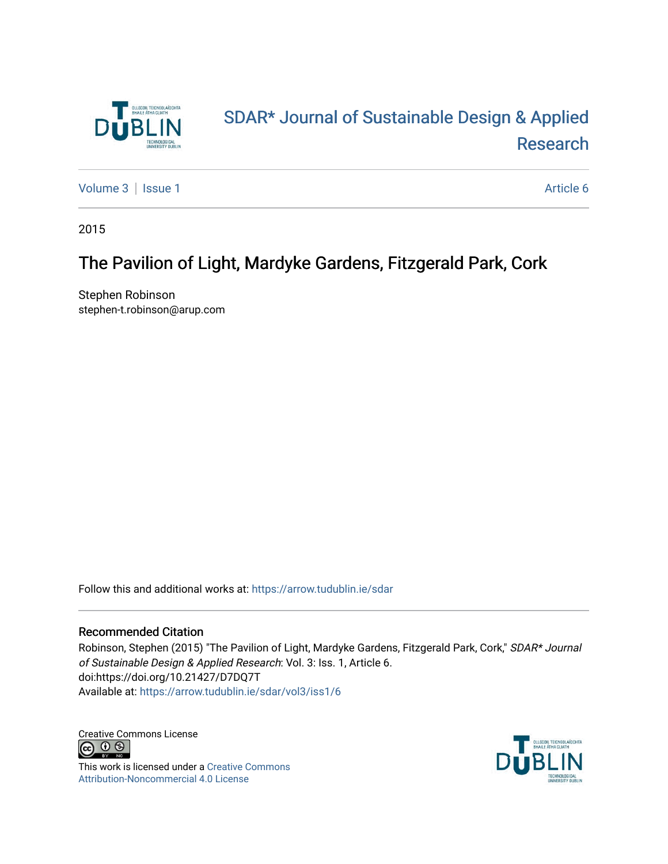

# [SDAR\\* Journal of Sustainable Design & Applied](https://arrow.tudublin.ie/sdar)  [Research](https://arrow.tudublin.ie/sdar)

[Volume 3](https://arrow.tudublin.ie/sdar/vol3) | [Issue 1](https://arrow.tudublin.ie/sdar/vol3/iss1) Article 6

2015

# The Pavilion of Light, Mardyke Gardens, Fitzgerald Park, Cork

Stephen Robinson stephen-t.robinson@arup.com

Follow this and additional works at: [https://arrow.tudublin.ie/sdar](https://arrow.tudublin.ie/sdar?utm_source=arrow.tudublin.ie%2Fsdar%2Fvol3%2Fiss1%2F6&utm_medium=PDF&utm_campaign=PDFCoverPages) 

#### Recommended Citation

Robinson, Stephen (2015) "The Pavilion of Light, Mardyke Gardens, Fitzgerald Park, Cork," SDAR\* Journal of Sustainable Design & Applied Research: Vol. 3: Iss. 1, Article 6. doi:https://doi.org/10.21427/D7DQ7T Available at: [https://arrow.tudublin.ie/sdar/vol3/iss1/6](https://arrow.tudublin.ie/sdar/vol3/iss1/6?utm_source=arrow.tudublin.ie%2Fsdar%2Fvol3%2Fiss1%2F6&utm_medium=PDF&utm_campaign=PDFCoverPages) 

Creative Commons License<br>  $\overline{G}$   $\overline{O}$   $\overline{\odot}$ 

This work is licensed under a [Creative Commons](https://creativecommons.org/licenses/by-nc/4.0/) [Attribution-Noncommercial 4.0 License](https://creativecommons.org/licenses/by-nc/4.0/)

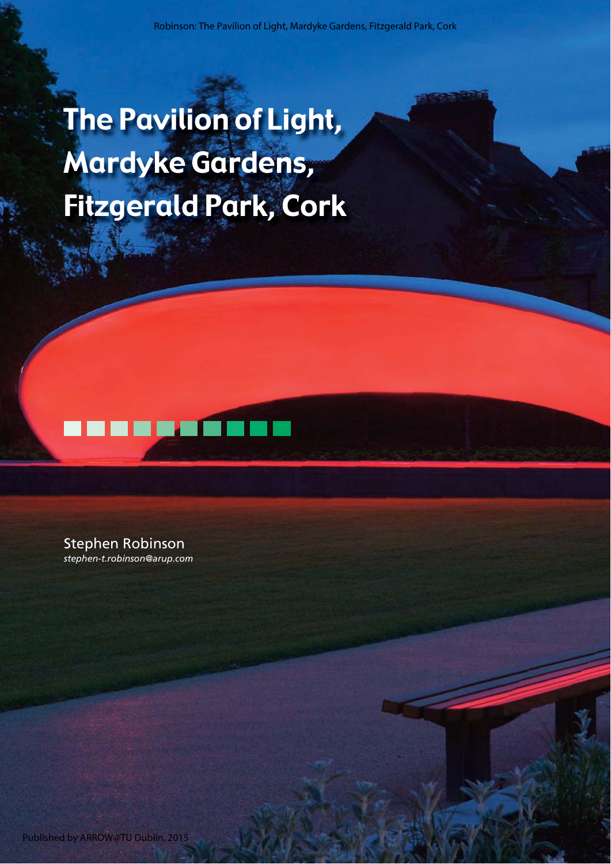# The Pavilion of Light, Mardyke Gardens, Fitzgerald Park, Cork



Stephen Robinson *stephen-t.robinson@arup.com*

Published by ARROW@TU Dublin, 2015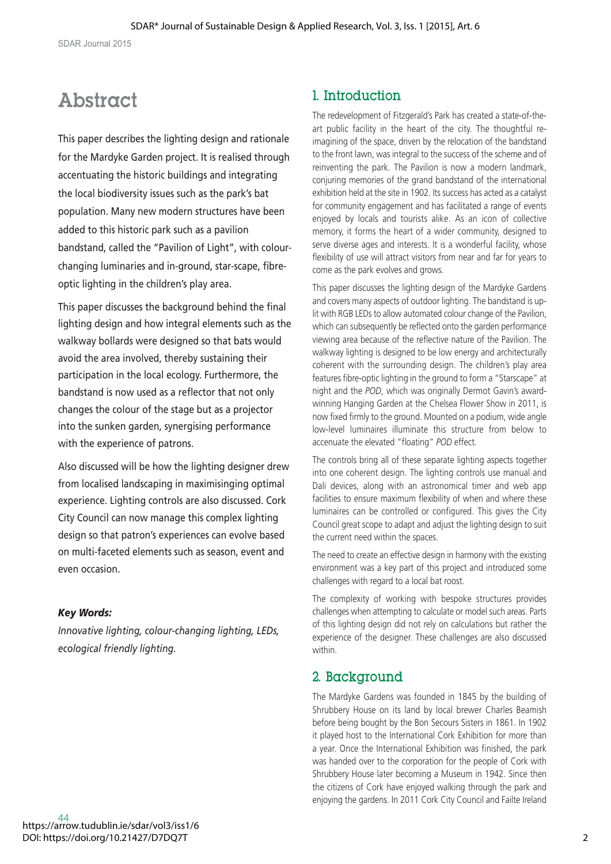# **Abstract**

This paper describes the lighting design and rationale for the Mardyke Garden project. It is realised through accentuating the historic buildings and integrating the local biodiversity issues such as the park's bat population. Many new modern structures have been added to this historic park such as a pavilion bandstand, called the "Pavilion of Light", with colourchanging luminaries and in-ground, star-scape, fibreoptic lighting in the children's play area.

This paper discusses the background behind the final lighting design and how integral elements such as the walkway bollards were designed so that bats would avoid the area involved, thereby sustaining their participation in the local ecology. Furthermore, the bandstand is now used as a reflector that not only changes the colour of the stage but as a projector into the sunken garden, synergising performance with the experience of patrons.

Also discussed will be how the lighting designer drew from localised landscaping in maximisinging optimal experience. Lighting controls are also discussed. Cork City Council can now manage this complex lighting design so that patron's experiences can evolve based on multi-faceted elements such as season, event and even occasion.

## *Key Words:*

*Innovative lighting, colour-changing lighting, LEDs, ecological friendly lighting.*

# 1. Introduction

The redevelopment of Fitzgerald's Park has created a state-of-theart public facility in the heart of the city. The thoughtful reimagining of the space, driven by the relocation of the bandstand to the front lawn, was integral to the success of the scheme and of reinventing the park. The Pavilion is now a modern landmark, conjuring memories of the grand bandstand of the international exhibition held at the site in 1902. Its success has acted as a catalyst for community engagement and has facilitated a range of events enjoyed by locals and tourists alike. As an icon of collective memory, it forms the heart of a wider community, designed to serve diverse ages and interests. It is a wonderful facility, whose flexibility of use will attract visitors from near and far for years to come as the park evolves and grows.

This paper discusses the lighting design of the Mardyke Gardens and covers many aspects of outdoor lighting. The bandstand is uplit with RGB LEDs to allow automated colour change of the Pavilion, which can subsequently be reflected onto the garden performance viewing area because of the reflective nature of the Pavilion. The walkway lighting is designed to be low energy and architecturally coherent with the surrounding design. The children's play area features fibre-optic lighting in the ground to form a "Starscape" at night and the *POD*, which was originally Dermot Gavin's awardwinning Hanging Garden at the Chelsea Flower Show in 2011, is now fixed firmly to the ground. Mounted on a podium, wide angle low-level luminaires illuminate this structure from below to accenuate the elevated "floating" *POD* effect.

The controls bring all of these separate lighting aspects together into one coherent design. The lighting controls use manual and Dali devices, along with an astronomical timer and web app facilities to ensure maximum flexibility of when and where these luminaires can be controlled or configured. This gives the City Council great scope to adapt and adjust the lighting design to suit the current need within the spaces.

The need to create an effective design in harmony with the existing environment was a key part of this project and introduced some challenges with regard to a local bat roost.

The complexity of working with bespoke structures provides challenges when attempting to calculate or model such areas. Parts of this lighting design did not rely on calculations but rather the experience of the designer. These challenges are also discussed within.

# 2. Background

The Mardyke Gardens was founded in 1845 by the building of Shrubbery House on its land by local brewer Charles Beamish before being bought by the Bon Secours Sisters in 1861. In 1902 it played host to the International Cork Exhibition for more than a year. Once the International Exhibition was finished, the park was handed over to the corporation for the people of Cork with Shrubbery House later becoming a Museum in 1942. Since then the citizens of Cork have enjoyed walking through the park and enjoying the gardens. In 2011 Cork City Council and Failte Ireland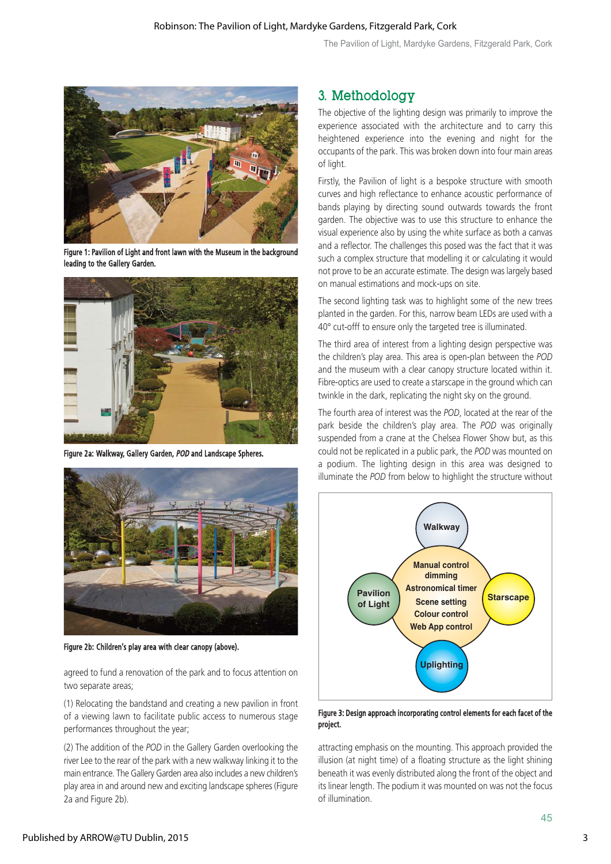

Figure 1: Pavilion of Light and front lawn with the Museum in the background leading to the Gallery Garden.



Figure 2a: Walkway, Gallery Garden, POD and Landscape Spheres.



Figure 2b: Children's play area with clear canopy (above).

agreed to fund a renovation of the park and to focus attention on two separate areas;

(1) Relocating the bandstand and creating a new pavilion in front of a viewing lawn to facilitate public access to numerous stage performances throughout the year;

(2) The addition of the *POD* in the Gallery Garden overlooking the river Lee to the rear of the park with a new walkway linking it to the main entrance. The Gallery Garden area also includes a new children's play area in and around new and exciting landscape spheres (Figure 2a and Figure 2b).

## 3. Methodology

The objective of the lighting design was primarily to improve the experience associated with the architecture and to carry this heightened experience into the evening and night for the occupants of the park. This was broken down into four main areas of light.

Firstly, the Pavilion of light is a bespoke structure with smooth curves and high reflectance to enhance acoustic performance of bands playing by directing sound outwards towards the front garden. The objective was to use this structure to enhance the visual experience also by using the white surface as both a canvas and a reflector. The challenges this posed was the fact that it was such a complex structure that modelling it or calculating it would not prove to be an accurate estimate. The design was largely based on manual estimations and mock-ups on site.

The second lighting task was to highlight some of the new trees planted in the garden. For this, narrow beam LEDs are used with a 40° cut-offf to ensure only the targeted tree is illuminated.

The third area of interest from a lighting design perspective was the children's play area. This area is open-plan between the *POD* and the museum with a clear canopy structure located within it. Fibre-optics are used to create a starscape in the ground which can twinkle in the dark, replicating the night sky on the ground.

The fourth area of interest was the *POD*, located at the rear of the park beside the children's play area. The *POD* was originally suspended from a crane at the Chelsea Flower Show but, as this could not be replicated in a public park, the *POD* was mounted on a podium. The lighting design in this area was designed to illuminate the *POD* from below to highlight the structure without



Figure 3: Design approach incorporating control elements for each facet of the project.

attracting emphasis on the mounting. This approach provided the illusion (at night time) of a floating structure as the light shining beneath it was evenly distributed along the front of the object and its linear length. The podium it was mounted on was not the focus of illumination.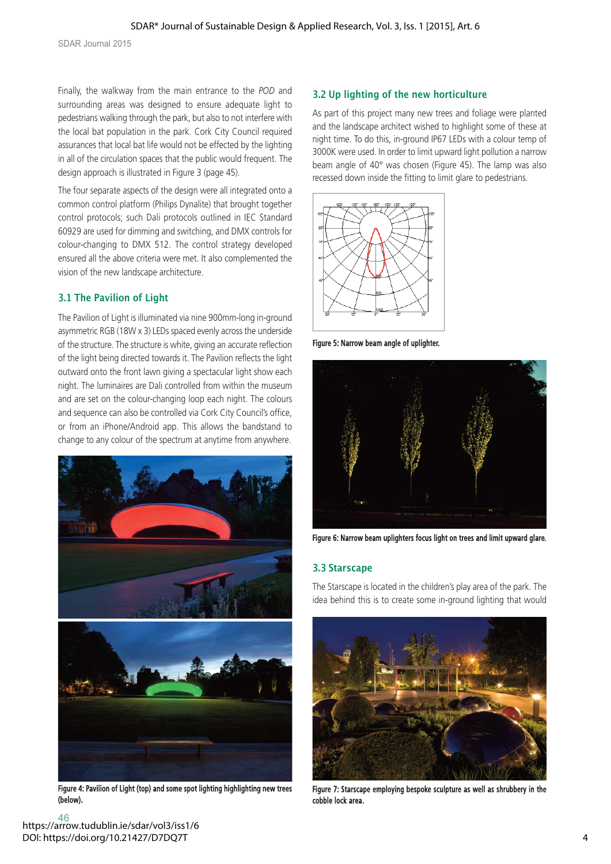Finally, the walkway from the main entrance to the *POD* and surrounding areas was designed to ensure adequate light to pedestrians walking through the park, but also to not interfere with the local bat population in the park. Cork City Council required assurances that local bat life would not be effected by the lighting in all of the circulation spaces that the public would frequent. The design approach is illustrated in Figure 3 (page 45).

The four separate aspects of the design were all integrated onto a common control platform (Philips Dynalite) that brought together control protocols; such Dali protocols outlined in IEC Standard 60929 are used for dimming and switching, and DMX controls for colour-changing to DMX 512. The control strategy developed ensured all the above criteria were met. It also complemented the vision of the new landscape architecture.

## **3.1 The Pavilion of Light**

The Pavilion of Light is illuminated via nine 900mm-long in-ground asymmetric RGB (18W x 3) LEDs spaced evenly across the underside of the structure. The structure is white, giving an accurate reflection of the light being directed towards it. The Pavilion reflects the light outward onto the front lawn giving a spectacular light show each night. The luminaires are Dali controlled from within the museum and are set on the colour-changing loop each night. The colours and sequence can also be controlled via Cork City Council's office, or from an iPhone/Android app. This allows the bandstand to change to any colour of the spectrum at anytime from anywhere.



Figure 4: Pavilion of Light (top) and some spot lighting highlighting new trees (below).

## **3.2 Up lighting of the new horticulture**

As part of this project many new trees and foliage were planted and the landscape architect wished to highlight some of these at night time. To do this, in-ground IP67 LEDs with a colour temp of 3000K were used. In order to limit upward light pollution a narrow beam angle of 40° was chosen (Figure 45). The lamp was also recessed down inside the fitting to limit glare to pedestrians.



Figure 5: Narrow beam angle of uplighter.



Figure 6: Narrow beam uplighters focus light on trees and limit upward glare.

#### **3.3 Starscape 3.3 Starscape**

The Starscape is located in the children's play area of the park. The idea behind this is to create some in-ground lighting that would



Figure 7: Starscape employing bespoke sculpture as well as shrubbery in the cobble lock area.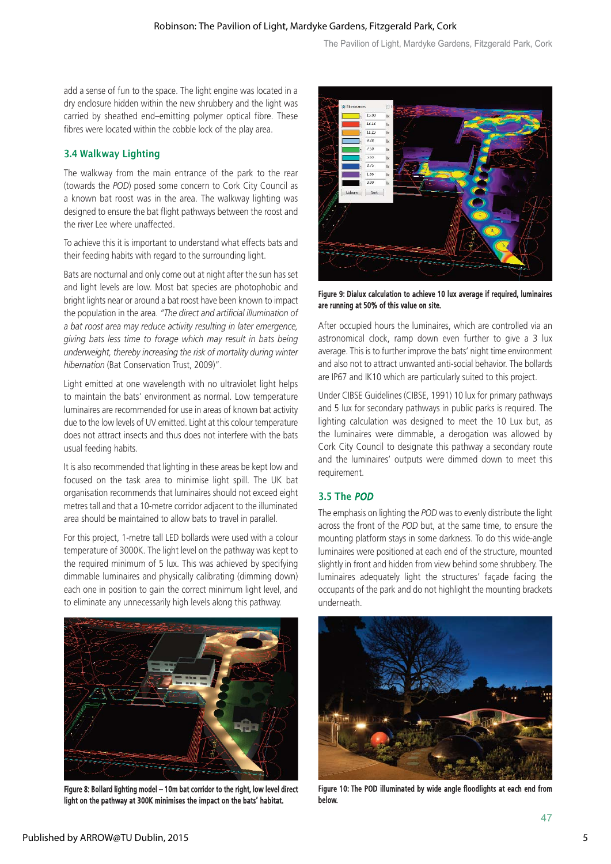add a sense of fun to the space. The light engine was located in a dry enclosure hidden within the new shrubbery and the light was carried by sheathed end–emitting polymer optical fibre. These fibres were located within the cobble lock of the play area.

# **3.4 Walkway Lighting**

The walkway from the main entrance of the park to the rear (towards the *POD*) posed some concern to Cork City Council as a known bat roost was in the area. The walkway lighting was designed to ensure the bat flight pathways between the roost and the river Lee where unaffected.

To achieve this it is important to understand what effects bats and their feeding habits with regard to the surrounding light.

Bats are nocturnal and only come out at night after the sun has set and light levels are low. Most bat species are photophobic and bright lights near or around a bat roost have been known to impact the population in the area. *"The direct and artificial illumination of a bat roost area may reduce activity resulting in later emergence, giving bats less time to forage which may result in bats being underweight, thereby increasing the risk of mortality during winter hibernation* (Bat Conservation Trust, 2009)".

Light emitted at one wavelength with no ultraviolet light helps to maintain the bats' environment as normal. Low temperature luminaires are recommended for use in areas of known bat activity due to the low levels of UV emitted. Light at this colour temperature does not attract insects and thus does not interfere with the bats usual feeding habits.

It is also recommended that lighting in these areas be kept low and focused on the task area to minimise light spill. The UK bat organisation recommends that luminaires should not exceed eight metres tall and that a 10-metre corridor adjacent to the illuminated area should be maintained to allow bats to travel in parallel.

For this project, 1-metre tall LED bollards were used with a colour temperature of 3000K. The light level on the pathway was kept to the required minimum of 5 lux. This was achieved by specifying dimmable luminaires and physically calibrating (dimming down) each one in position to gain the correct minimum light level, and to eliminate any unnecessarily high levels along this pathway.



Figure 8: Bollard lighting model – 10m bat corridor to the right, low level direct light on the pathway at 300K minimises the impact on the bats' habitat.



Figure 9: Dialux calculation to achieve 10 lux average if required, luminaires are running at 50% of this value on site.

After occupied hours the luminaires, which are controlled via an astronomical clock, ramp down even further to give a 3 lux average. This is to further improve the bats' night time environment and also not to attract unwanted anti-social behavior. The bollards are IP67 and IK10 which are particularly suited to this project.

Under CIBSE Guidelines (CIBSE, 1991) 10 lux for primary pathways and 5 lux for secondary pathways in public parks is required. The lighting calculation was designed to meet the 10 Lux but, as the luminaires were dimmable, a derogation was allowed by Cork City Council to designate this pathway a secondary route and the luminaires' outputs were dimmed down to meet this requirement.

#### **3.5 The** POD

The emphasis on lighting the *POD* was to evenly distribute the light across the front of the *POD* but, at the same time, to ensure the mounting platform stays in some darkness. To do this wide-angle luminaires were positioned at each end of the structure, mounted slightly in front and hidden from view behind some shrubbery. The luminaires adequately light the structures' façade facing the occupants of the park and do not highlight the mounting brackets underneath.



Figure 10: The POD illuminated by wide angle floodlights at each end from below.